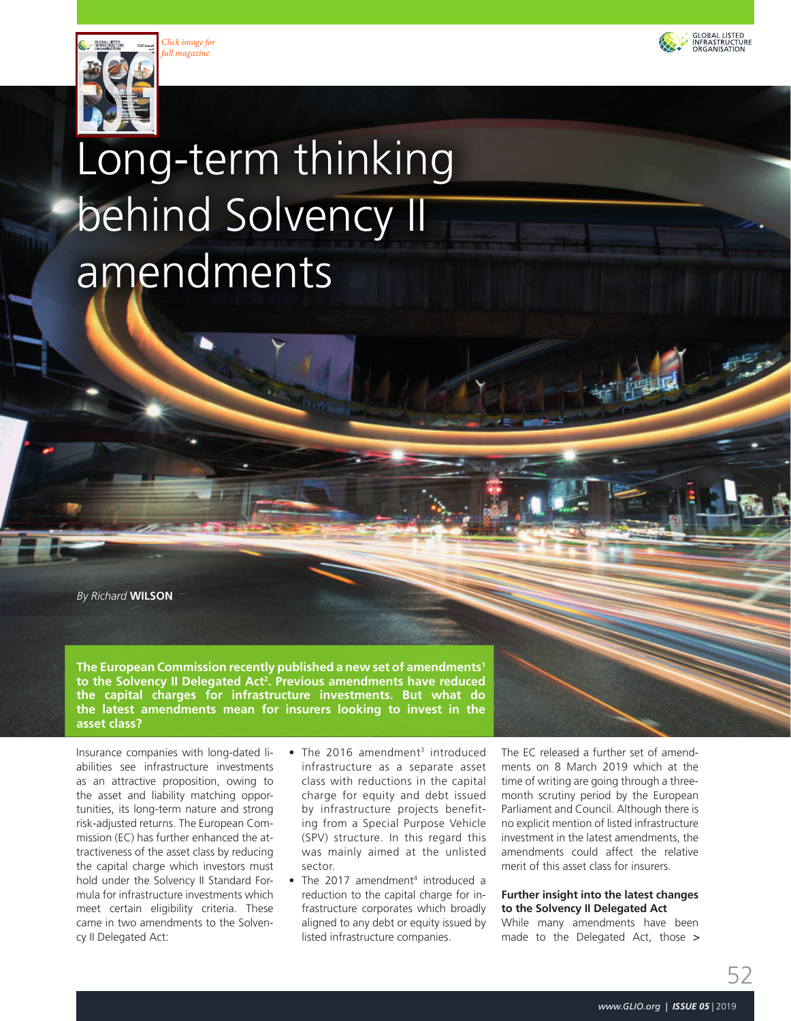





# Long-term thinking behind Solvency II amendments

*By Richard* **WILSON**

**The European Commission recently published a new set of amendments1** to the Solvency II Delegated Act<sup>2</sup>. Previous amendments have reduced **the capital charges for infrastructure investments. But what do the latest amendments mean for insurers looking to invest in the asset class?**

Insurance companies with long-dated liabilities see infrastructure investments as an attractive proposition, owing to the asset and liability matching opportunities, its long-term nature and strong risk-adjusted returns. The European Commission (EC) has further enhanced the attractiveness of the asset class by reducing the capital charge which investors must hold under the Solvency II Standard Formula for infrastructure investments which meet certain eligibility criteria. These came in two amendments to the Solvency II Delegated Act:

- The 2016 amendment<sup>3</sup> introduced infrastructure as a separate asset class with reductions in the capital charge for equity and debt issued by infrastructure projects benefiting from a Special Purpose Vehicle (SPV) structure. In this regard this was mainly aimed at the unlisted sector.
- The 2017 amendment<sup>4</sup> introduced a reduction to the capital charge for infrastructure corporates which broadly aligned to any debt or equity issued by listed infrastructure companies.

The EC released a further set of amendments on 8 March 2019 which at the time of writing are going through a threemonth scrutiny period by the European Parliament and Council. Although there is no explicit mention of listed infrastructure investment in the latest amendments, the amendments could affect the relative merit of this asset class for insurers.

# **Further insight into the latest changes to the Solvency II Delegated Act**

While many amendments have been made to the Delegated Act, those >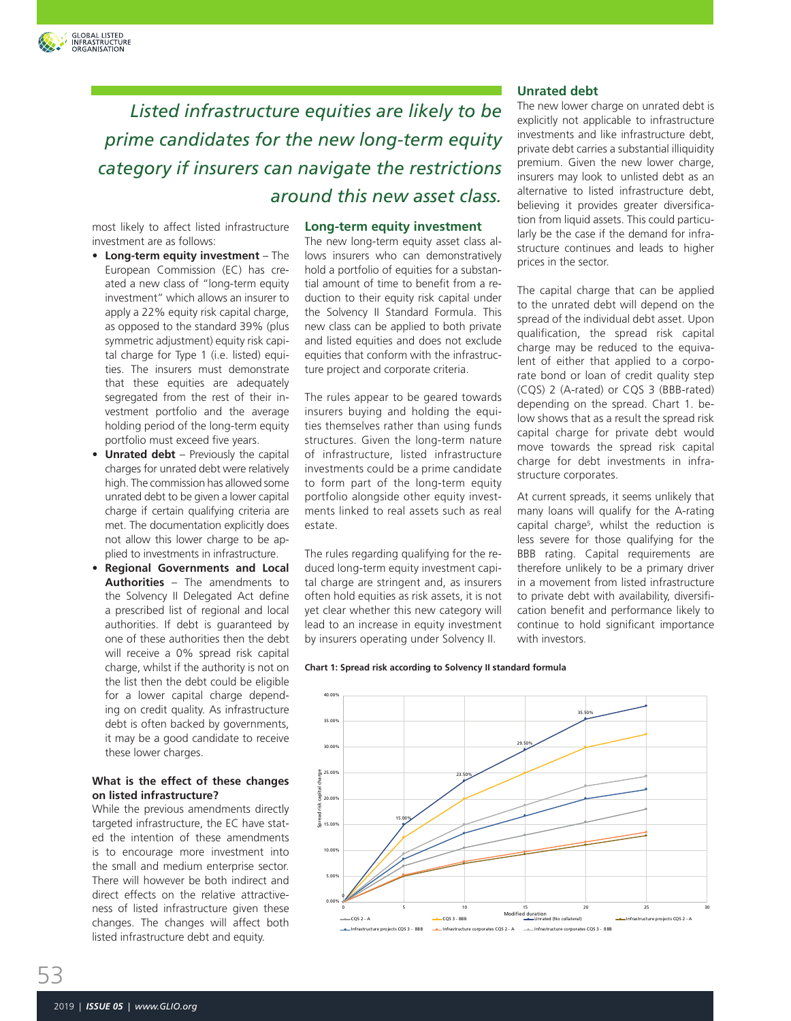

most likely to affect listed infrastructure investment are as follows:

GLOBAL LISTED<br>INFRASTRUCTURE<br>ORGANISATION

- **• Long-term equity investment**  The European Commission (EC) has created a new class of "long-term equity investment" which allows an insurer to apply a 22% equity risk capital charge, as opposed to the standard 39% (plus symmetric adjustment) equity risk capital charge for Type 1 (i.e. listed) equities. The insurers must demonstrate that these equities are adequately segregated from the rest of their investment portfolio and the average holding period of the long-term equity portfolio must exceed five years.
- **• Unrated debt** Previously the capital charges for unrated debt were relatively high. The commission has allowed some unrated debt to be given a lower capital charge if certain qualifying criteria are met. The documentation explicitly does not allow this lower charge to be applied to investments in infrastructure.
- **• Regional Governments and Local Authorities** – The amendments to the Solvency II Delegated Act define a prescribed list of regional and local authorities. If debt is guaranteed by one of these authorities then the debt will receive a 0% spread risk capital charge, whilst if the authority is not on the list then the debt could be eligible for a lower capital charge depending on credit quality. As infrastructure debt is often backed by governments, it may be a good candidate to receive these lower charges.

# **What is the effect of these changes on listed infrastructure?**

While the previous amendments directly targeted infrastructure, the EC have stated the intention of these amendments is to encourage more investment into the small and medium enterprise sector. There will however be both indirect and direct effects on the relative attractiveness of listed infrastructure given these changes. The changes will affect both listed infrastructure debt and equity.

#### **Long-term equity investment**

The new long-term equity asset class allows insurers who can demonstratively hold a portfolio of equities for a substantial amount of time to benefit from a reduction to their equity risk capital under the Solvency II Standard Formula. This new class can be applied to both private and listed equities and does not exclude equities that conform with the infrastructure project and corporate criteria.

The rules appear to be geared towards insurers buying and holding the equities themselves rather than using funds structures. Given the long-term nature of infrastructure, listed infrastructure investments could be a prime candidate to form part of the long-term equity portfolio alongside other equity investments linked to real assets such as real estate.

The rules regarding qualifying for the reduced long-term equity investment capital charge are stringent and, as insurers often hold equities as risk assets, it is not yet clear whether this new category will lead to an increase in equity investment by insurers operating under Solvency II.

#### **Unrated debt**

The new lower charge on unrated debt is explicitly not applicable to infrastructure investments and like infrastructure debt, private debt carries a substantial illiquidity premium. Given the new lower charge, insurers may look to unlisted debt as an alternative to listed infrastructure debt, believing it provides greater diversification from liquid assets. This could particularly be the case if the demand for infrastructure continues and leads to higher prices in the sector.

The capital charge that can be applied to the unrated debt will depend on the spread of the individual debt asset. Upon qualification, the spread risk capital charge may be reduced to the equivalent of either that applied to a corporate bond or loan of credit quality step (CQS) 2 (A-rated) or CQS 3 (BBB-rated) depending on the spread. Chart 1. below shows that as a result the spread risk capital charge for private debt would move towards the spread risk capital charge for debt investments in infrastructure corporates.

At current spreads, it seems unlikely that many loans will qualify for the A-rating capital charge5 , whilst the reduction is less severe for those qualifying for the BBB rating. Capital requirements are therefore unlikely to be a primary driver in a movement from listed infrastructure to private debt with availability, diversification benefit and performance likely to continue to hold significant importance with investors.

**Chart 1: Spread risk according to Solvency II standard formula**